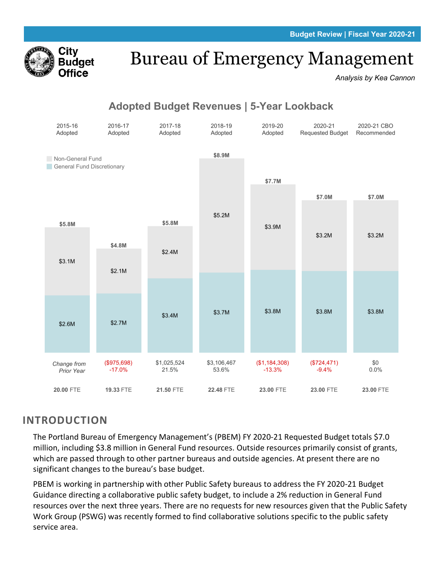

# Bureau of Emergency Management

*Analysis by Kea Cannon*

## Adopted Budget Revenues | 5-Year Lookback



## **INTRODUCTION**

The Portland Bureau of Emergency Management's (PBEM) FY 2020-21 Requested Budget totals \$7.0 million, including \$3.8 million in General Fund resources. Outside resources primarily consist of grants, which are passed through to other partner bureaus and outside agencies. At present there are no significant changes to the bureau's base budget.

PBEM is working in partnership with other Public Safety bureaus to address the FY 2020-21 Budget Guidance directing a collaborative public safety budget, to include a 2% reduction in General Fund resources over the next three years. There are no requests for new resources given that the Public Safety Work Group (PSWG) was recently formed to find collaborative solutions specific to the public safety service area.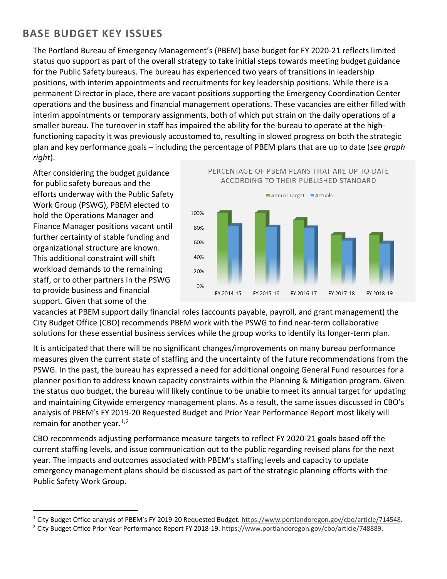## **BASE BUDGET KEY ISSUES**

The Portland Bureau of Emergency Management's (PBEM) base budget for FY 2020-21 reflects limited status quo support as part of the overall strategy to take initial steps towards meeting budget guidance for the Public Safety bureaus. The bureau has experienced two years of transitions in leadership positions, with interim appointments and recruitments for key leadership positions. While there is a permanent Director in place, there are vacant positions supporting the Emergency Coordination Center operations and the business and financial management operations. These vacancies are either filled with interim appointments or temporary assignments, both of which put strain on the daily operations of a smaller bureau. The turnover in staff has impaired the ability for the bureau to operate at the highfunctioning capacity it was previously accustomed to, resulting in slowed progress on both the strategic plan and key performance goals – including the percentage of PBEM plans that are up to date (*see graph right*).

After considering the budget guidance for public safety bureaus and the efforts underway with the Public Safety Work Group (PSWG), PBEM elected to hold the Operations Manager and Finance Manager positions vacant until further certainty of stable funding and organizational structure are known. This additional constraint will shift workload demands to the remaining staff, or to other partners in the PSWG to provide business and financial support. Given that some of the



vacancies at PBEM support daily financial roles (accounts payable, payroll, and grant management) the City Budget Office (CBO) recommends PBEM work with the PSWG to find near-term collaborative solutions for these essential business services while the group works to identify its longer-term plan.

It is anticipated that there will be no significant changes/improvements on many bureau performance measures given the current state of staffing and the uncertainty of the future recommendations from the PSWG. In the past, the bureau has expressed a need for additional ongoing General Fund resources for a planner position to address known capacity constraints within the Planning & Mitigation program. Given the status quo budget, the bureau will likely continue to be unable to meet its annual target for updating and maintaining Citywide emergency management plans. As a result, the same issues discussed in CBO's analysis of PBEM's FY 2019-20 Requested Budget and Prior Year Performance Report most likely will remain for another year. $1,2$  $1,2$ 

CBO recommends adjusting performance measure targets to reflect FY 2020-21 goals based off the current staffing levels, and issue communication out to the public regarding revised plans for the next year. The impacts and outcomes associated with PBEM's staffing levels and capacity to update emergency management plans should be discussed as part of the strategic planning efforts with the Public Safety Work Group.

<span id="page-1-0"></span><sup>1</sup> City Budget Office analysis of PBEM's FY 2019-20 Requested Budget[. https://www.portlandoregon.gov/cbo/article/714548.](https://www.portlandoregon.gov/cbo/article/714548)

<span id="page-1-1"></span><sup>&</sup>lt;sup>2</sup> City Budget Office Prior Year Performance Report FY 2018-19[. https://www.portlandoregon.gov/cbo/article/748889.](https://www.portlandoregon.gov/cbo/article/748889)